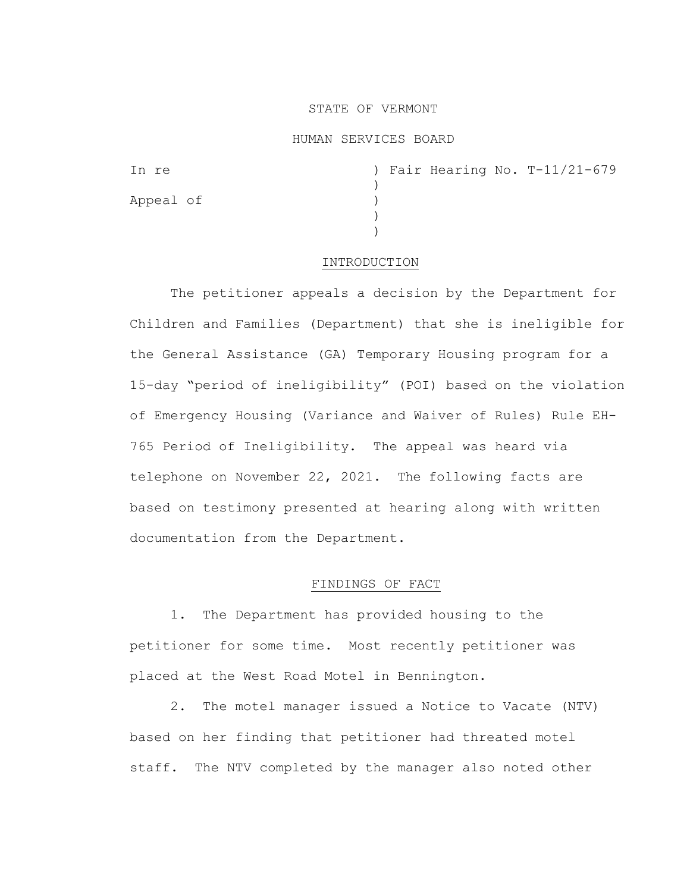## STATE OF VERMONT

#### HUMAN SERVICES BOARD

| In re     | ) Fair Hearing No. T-11/21-679 |
|-----------|--------------------------------|
|           |                                |
| Appeal of |                                |
|           |                                |
|           |                                |

# INTRODUCTION

The petitioner appeals a decision by the Department for Children and Families (Department) that she is ineligible for the General Assistance (GA) Temporary Housing program for a 15-day "period of ineligibility" (POI) based on the violation of Emergency Housing (Variance and Waiver of Rules) Rule EH-765 Period of Ineligibility. The appeal was heard via telephone on November 22, 2021. The following facts are based on testimony presented at hearing along with written documentation from the Department.

#### FINDINGS OF FACT

1. The Department has provided housing to the petitioner for some time. Most recently petitioner was placed at the West Road Motel in Bennington.

2. The motel manager issued a Notice to Vacate (NTV) based on her finding that petitioner had threated motel staff. The NTV completed by the manager also noted other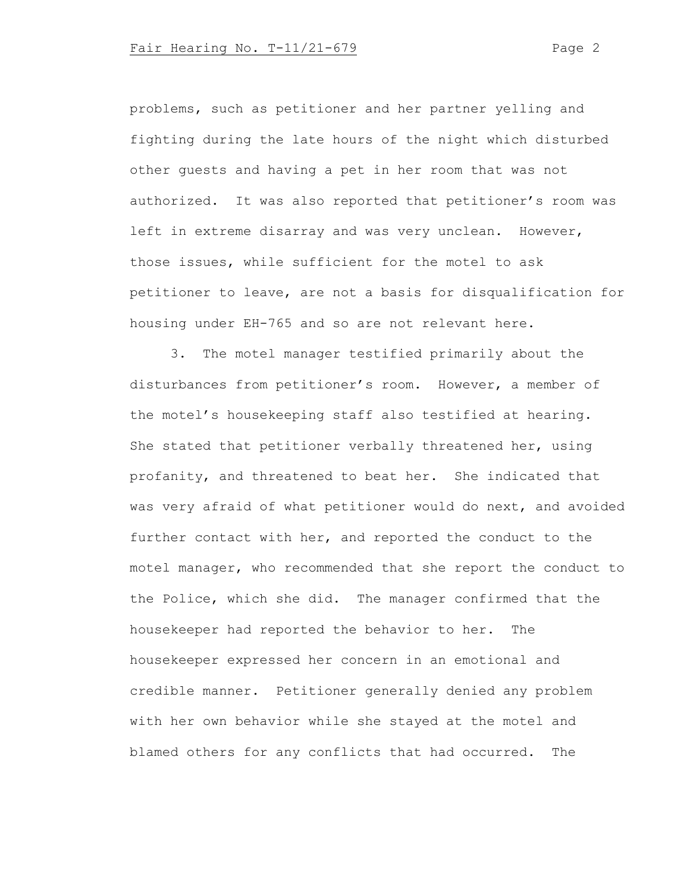problems, such as petitioner and her partner yelling and fighting during the late hours of the night which disturbed other guests and having a pet in her room that was not authorized. It was also reported that petitioner's room was left in extreme disarray and was very unclean. However, those issues, while sufficient for the motel to ask petitioner to leave, are not a basis for disqualification for housing under EH-765 and so are not relevant here.

3. The motel manager testified primarily about the disturbances from petitioner's room. However, a member of the motel's housekeeping staff also testified at hearing. She stated that petitioner verbally threatened her, using profanity, and threatened to beat her. She indicated that was very afraid of what petitioner would do next, and avoided further contact with her, and reported the conduct to the motel manager, who recommended that she report the conduct to the Police, which she did. The manager confirmed that the housekeeper had reported the behavior to her. The housekeeper expressed her concern in an emotional and credible manner. Petitioner generally denied any problem with her own behavior while she stayed at the motel and blamed others for any conflicts that had occurred. The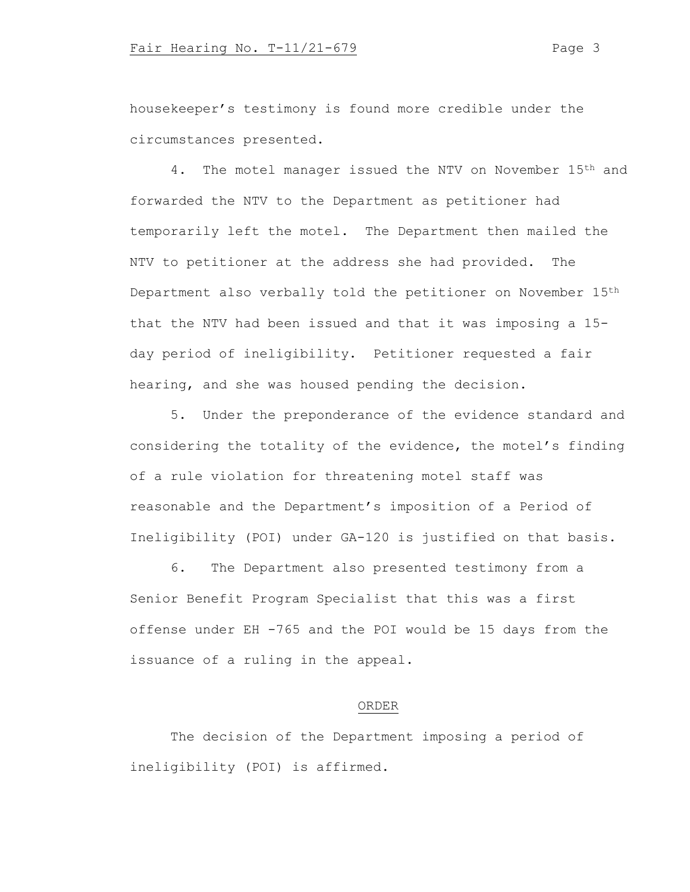housekeeper's testimony is found more credible under the circumstances presented.

4. The motel manager issued the NTV on November 15<sup>th</sup> and forwarded the NTV to the Department as petitioner had temporarily left the motel. The Department then mailed the NTV to petitioner at the address she had provided. The Department also verbally told the petitioner on November 15th that the NTV had been issued and that it was imposing a 15 day period of ineligibility. Petitioner requested a fair hearing, and she was housed pending the decision.

5. Under the preponderance of the evidence standard and considering the totality of the evidence, the motel's finding of a rule violation for threatening motel staff was reasonable and the Department's imposition of a Period of Ineligibility (POI) under GA-120 is justified on that basis.

6. The Department also presented testimony from a Senior Benefit Program Specialist that this was a first offense under EH -765 and the POI would be 15 days from the issuance of a ruling in the appeal.

# ORDER

The decision of the Department imposing a period of ineligibility (POI) is affirmed.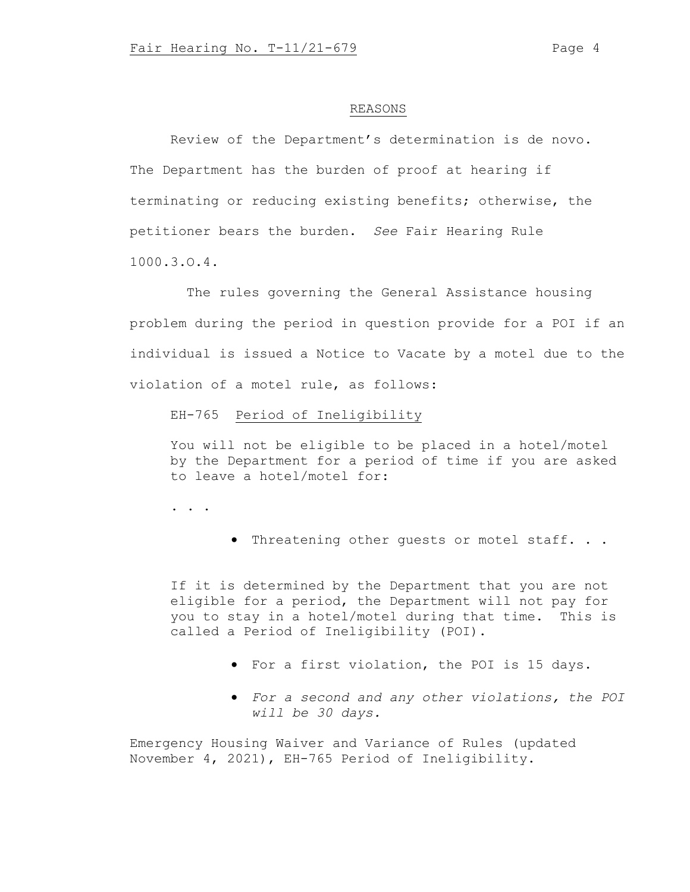#### REASONS

Review of the Department's determination is de novo. The Department has the burden of proof at hearing if terminating or reducing existing benefits; otherwise, the petitioner bears the burden. *See* Fair Hearing Rule 1000.3.O.4.

The rules governing the General Assistance housing problem during the period in question provide for a POI if an individual is issued a Notice to Vacate by a motel due to the violation of a motel rule, as follows:

EH-765 Period of Ineligibility

You will not be eligible to be placed in a hotel/motel by the Department for a period of time if you are asked to leave a hotel/motel for:

. . .

• Threatening other guests or motel staff. . .

If it is determined by the Department that you are not eligible for a period, the Department will not pay for you to stay in a hotel/motel during that time. This is called a Period of Ineligibility (POI).

- For a first violation, the POI is 15 days.
- *For a second and any other violations, the POI will be 30 days.*

Emergency Housing Waiver and Variance of Rules (updated November 4, 2021), EH-765 Period of Ineligibility.